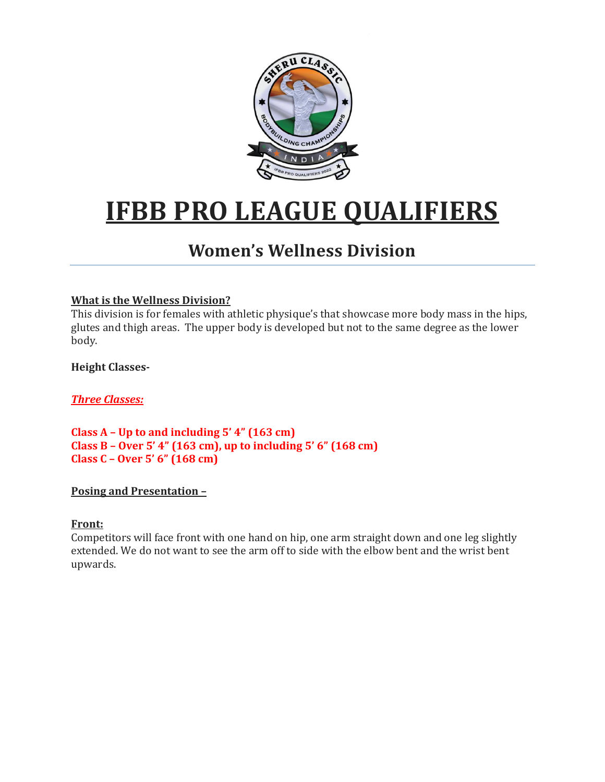

# **IFBB PRO LEAGUE QUALIFIERS**

# **Women's Wellness Division**

# **What is the Wellness Division?**

This division is for females with athletic physique's that showcase more body mass in the hips, glutes and thigh areas. The upper body is developed but not to the same degree as the lower body.

**Height Classes-**

*Three Classes:*

**Class A – Up to and including 5' 4" (163 cm) Class B – Over 5' 4" (163 cm), up to including 5' 6" (168 cm) Class C – Over 5' 6" (168 cm)**

# **Posing and Presentation –**

# **Front:**

Competitors will face front with one hand on hip, one arm straight down and one leg slightly extended. We do not want to see the arm off to side with the elbow bent and the wrist bent upwards.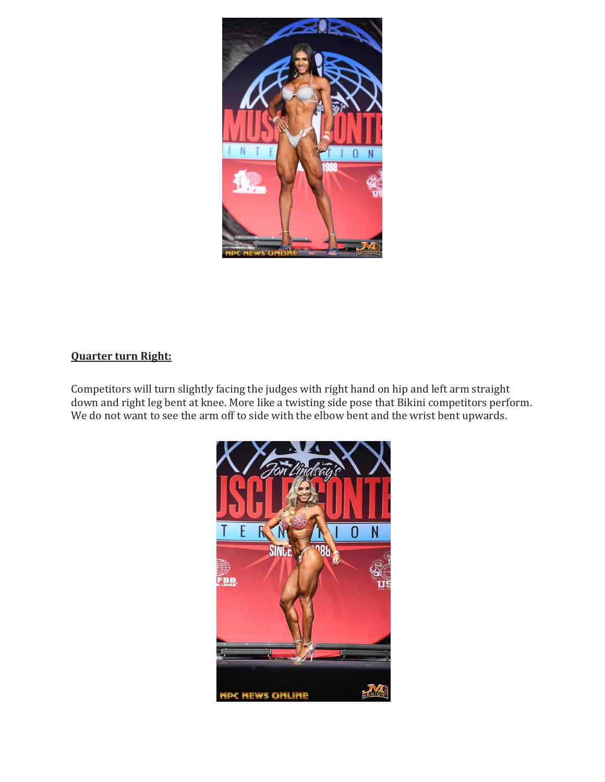

# **Quarter turn Right:**

Competitors will turn slightly facing the judges with right hand on hip and left arm straight down and right leg bent at knee. More like a twisting side pose that Bikini competitors perform. We do not want to see the arm off to side with the elbow bent and the wrist bent upwards.

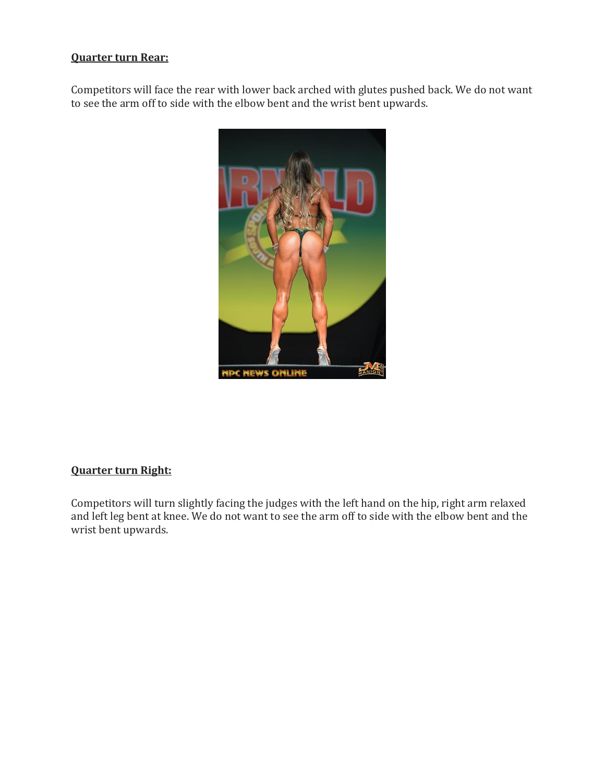# **Quarter turn Rear:**

Competitors will face the rear with lower back arched with glutes pushed back. We do not want to see the arm off to side with the elbow bent and the wrist bent upwards.



# **Quarter turn Right:**

Competitors will turn slightly facing the judges with the left hand on the hip, right arm relaxed and left leg bent at knee. We do not want to see the arm off to side with the elbow bent and the wrist bent upwards.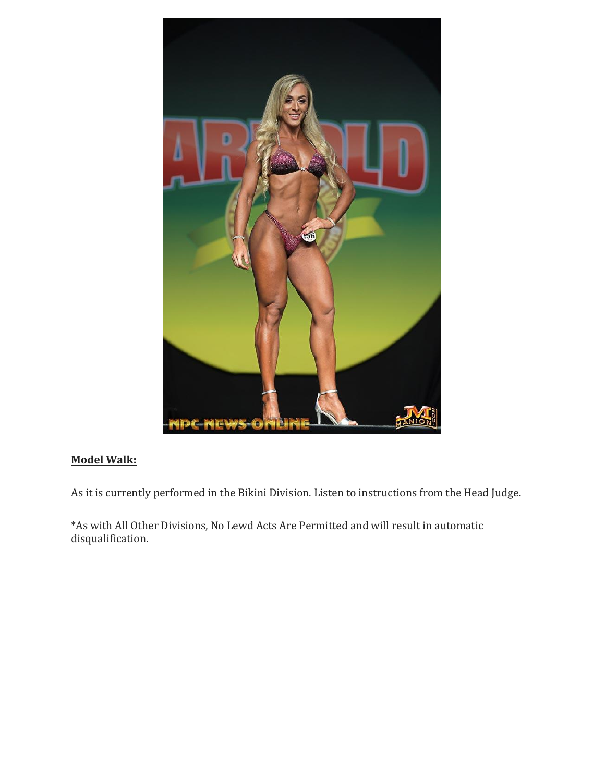

# **Model Walk:**

As it is currently performed in the Bikini Division. Listen to instructions from the Head Judge.

\*As with All Other Divisions, No Lewd Acts Are Permitted and will result in automatic disqualification.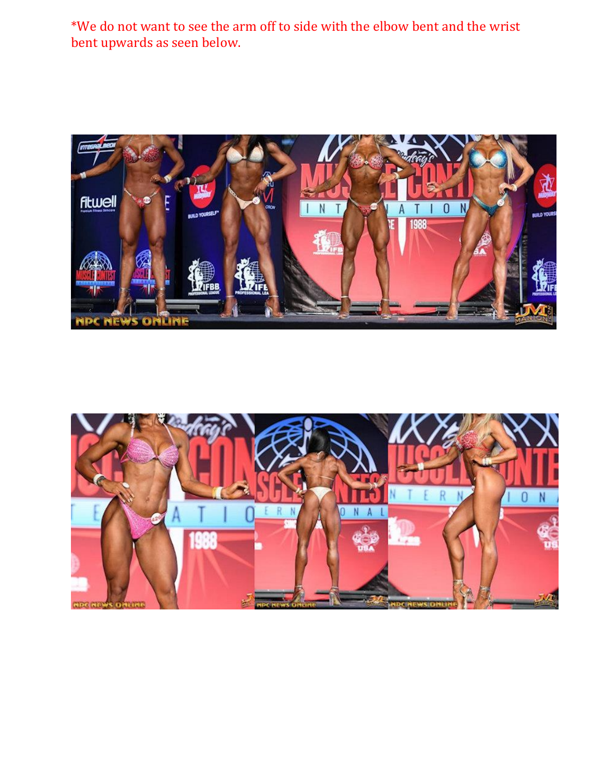\*We do not want to see the arm off to side with the elbow bent and the wrist bent upwards as seen below.



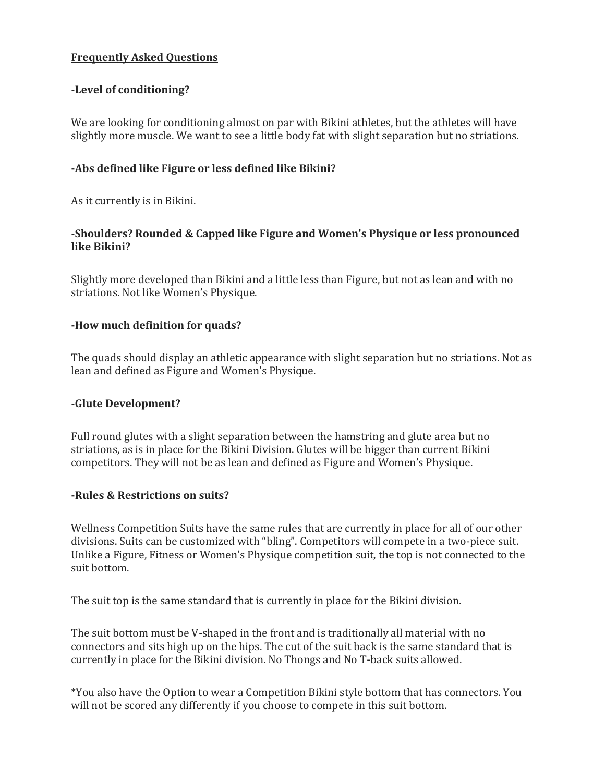# **Frequently Asked Questions**

#### **-Level of conditioning?**

We are looking for conditioning almost on par with Bikini athletes, but the athletes will have slightly more muscle. We want to see a little body fat with slight separation but no striations.

#### **-Abs defined like Figure or less defined like Bikini?**

As it currently is in Bikini.

#### **-Shoulders? Rounded & Capped like Figure and Women's Physique or less pronounced like Bikini?**

Slightly more developed than Bikini and a little less than Figure, but not as lean and with no striations. Not like Women's Physique.

#### **-How much definition for quads?**

The quads should display an athletic appearance with slight separation but no striations. Not as lean and defined as Figure and Women's Physique.

#### **-Glute Development?**

Full round glutes with a slight separation between the hamstring and glute area but no striations, as is in place for the Bikini Division. Glutes will be bigger than current Bikini competitors. They will not be as lean and defined as Figure and Women's Physique.

#### **-Rules & Restrictions on suits?**

Wellness Competition Suits have the same rules that are currently in place for all of our other divisions. Suits can be customized with "bling". Competitors will compete in a two-piece suit. Unlike a Figure, Fitness or Women's Physique competition suit, the top is not connected to the suit bottom.

The suit top is the same standard that is currently in place for the Bikini division.

The suit bottom must be V-shaped in the front and is traditionally all material with no connectors and sits high up on the hips. The cut of the suit back is the same standard that is currently in place for the Bikini division. No Thongs and No T-back suits allowed.

\*You also have the Option to wear a Competition Bikini style bottom that has connectors. You will not be scored any differently if you choose to compete in this suit bottom.